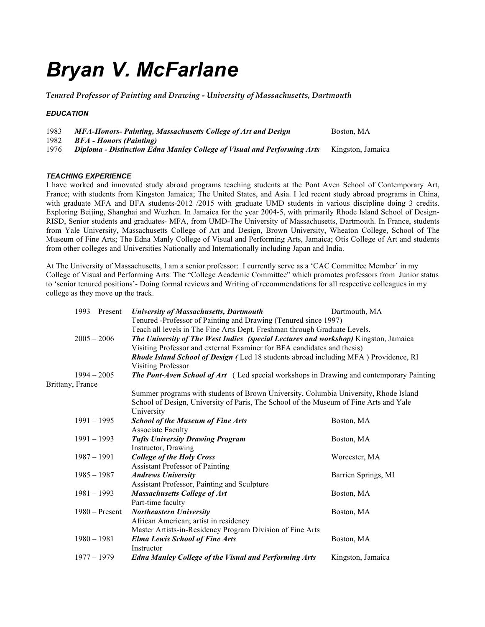# *Bryan V. McFarlane*

*Tenured Professor of Painting and Drawing - University of Massachusetts, Dartmouth*

#### *EDUCATION*

| 1983 | MFA-Honors- Painting, Massachusetts College of Art and Design |  |  |  | Boston, MA |  |  |
|------|---------------------------------------------------------------|--|--|--|------------|--|--|
| 1982 | <i>BFA - Honors (Painting)</i>                                |  |  |  |            |  |  |
| 1077 | <b>R</b>                                                      |  |  |  |            |  |  |

1976 *Diploma - Distinction Edna Manley College of Visual and Performing Arts* Kingston, Jamaica

#### *TEACHING EXPERIENCE*

I have worked and innovated study abroad programs teaching students at the Pont Aven School of Contemporary Art, France; with students from Kingston Jamaica; The United States, and Asia. I led recent study abroad programs in China, with graduate MFA and BFA students-2012 /2015 with graduate UMD students in various discipline doing 3 credits. Exploring Beijing, Shanghai and Wuzhen. In Jamaica for the year 2004-5, with primarily Rhode Island School of Design-RISD, Senior students and graduates- MFA, from UMD-The University of Massachusetts, Dartmouth. In France, students from Yale University, Massachusetts College of Art and Design, Brown University, Wheaton College, School of The Museum of Fine Arts; The Edna Manly College of Visual and Performing Arts, Jamaica; Otis College of Art and students from other colleges and Universities Nationally and Internationally including Japan and India.

At The University of Massachusetts, I am a senior professor: I currently serve as a 'CAC Committee Member' in my College of Visual and Performing Arts: The "College Academic Committee" which promotes professors from Junior status to 'senior tenured positions'- Doing formal reviews and Writing of recommendations for all respective colleagues in my college as they move up the track.

|                  | $1993 -$ Present                                                                                     | <b>University of Massachusetts, Dartmouth</b>                                                  | Dartmouth, MA       |  |  |  |
|------------------|------------------------------------------------------------------------------------------------------|------------------------------------------------------------------------------------------------|---------------------|--|--|--|
|                  | Tenured -Professor of Painting and Drawing (Tenured since 1997)                                      |                                                                                                |                     |  |  |  |
|                  |                                                                                                      | Teach all levels in The Fine Arts Dept. Freshman through Graduate Levels.                      |                     |  |  |  |
|                  | The University of The West Indies (special Lectures and workshop) Kingston, Jamaica<br>$2005 - 2006$ |                                                                                                |                     |  |  |  |
|                  |                                                                                                      | Visiting Professor and external Examiner for BFA candidates and thesis)                        |                     |  |  |  |
|                  |                                                                                                      | <b>Rhode Island School of Design (Led 18 students abroad including MFA) Providence, RI</b>     |                     |  |  |  |
|                  |                                                                                                      | <b>Visiting Professor</b>                                                                      |                     |  |  |  |
|                  | $1994 - 2005$                                                                                        | <b>The Pont-Aven School of Art</b> (Led special workshops in Drawing and contemporary Painting |                     |  |  |  |
| Brittany, France |                                                                                                      |                                                                                                |                     |  |  |  |
|                  |                                                                                                      | Summer programs with students of Brown University, Columbia University, Rhode Island           |                     |  |  |  |
|                  |                                                                                                      | School of Design, University of Paris, The School of the Museum of Fine Arts and Yale          |                     |  |  |  |
|                  |                                                                                                      | University                                                                                     |                     |  |  |  |
|                  | $1991 - 1995$                                                                                        | <b>School of the Museum of Fine Arts</b>                                                       | Boston, MA          |  |  |  |
|                  |                                                                                                      | <b>Associate Faculty</b>                                                                       |                     |  |  |  |
|                  | $1991 - 1993$                                                                                        | <b>Tufts University Drawing Program</b>                                                        | Boston, MA          |  |  |  |
|                  |                                                                                                      | Instructor, Drawing                                                                            |                     |  |  |  |
|                  | $1987 - 1991$                                                                                        | <b>College of the Holy Cross</b>                                                               | Worcester, MA       |  |  |  |
|                  |                                                                                                      | <b>Assistant Professor of Painting</b>                                                         |                     |  |  |  |
|                  | $1985 - 1987$                                                                                        | <b>Andrews University</b>                                                                      | Barrien Springs, MI |  |  |  |
|                  |                                                                                                      | Assistant Professor, Painting and Sculpture                                                    |                     |  |  |  |
|                  | $1981 - 1993$                                                                                        | <b>Massachusetts College of Art</b>                                                            | Boston, MA          |  |  |  |
|                  |                                                                                                      | Part-time faculty                                                                              |                     |  |  |  |
|                  | $1980$ – Present                                                                                     | <b>Northeastern University</b>                                                                 | Boston, MA          |  |  |  |
|                  |                                                                                                      | African American; artist in residency                                                          |                     |  |  |  |
|                  |                                                                                                      | Master Artists-in-Residency Program Division of Fine Arts                                      |                     |  |  |  |
|                  | $1980 - 1981$                                                                                        | <b>Elma Lewis School of Fine Arts</b>                                                          | Boston, MA          |  |  |  |
|                  |                                                                                                      | Instructor                                                                                     |                     |  |  |  |
|                  | $1977 - 1979$                                                                                        | <b>Edna Manley College of the Visual and Performing Arts</b>                                   | Kingston, Jamaica   |  |  |  |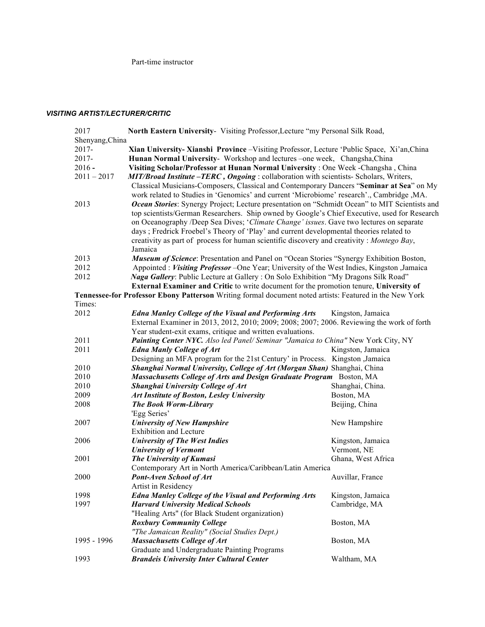Part-time instructor

## *VISITING ARTIST/LECTURER/CRITIC*

| 2017            | <b>North Eastern University-</b> Visiting Professor, Lecture "my Personal Silk Road,                    |                    |  |  |  |
|-----------------|---------------------------------------------------------------------------------------------------------|--------------------|--|--|--|
| Shenyang, China |                                                                                                         |                    |  |  |  |
| 2017-           | Xian University- Xianshi Province - Visiting Professor, Lecture 'Public Space, Xi'an, China             |                    |  |  |  |
| 2017-           | Hunan Normal University- Workshop and lectures -one week, Changsha, China                               |                    |  |  |  |
| $2016 -$        | Visiting Scholar/Professor at Hunan Normal University : One Week -Changsha, China                       |                    |  |  |  |
| $2011 - 2017$   | MIT/Broad Institute – TERC, Ongoing : collaboration with scientists- Scholars, Writers,                 |                    |  |  |  |
|                 | Classical Musicians-Composers, Classical and Contemporary Dancers "Seminar at Sea" on My                |                    |  |  |  |
|                 | work related to Studies in 'Genomics' and current 'Microbiome' research'., Cambridge, MA.               |                    |  |  |  |
| 2013            | Ocean Stories: Synergy Project; Lecture presentation on "Schmidt Ocean" to MIT Scientists and           |                    |  |  |  |
|                 | top scientists/German Researchers. Ship owned by Google's Chief Executive, used for Research            |                    |  |  |  |
|                 | on Oceanography /Deep Sea Dives; 'Climate Change' issues. Gave two lectures on separate                 |                    |  |  |  |
|                 | days ; Fredrick Froebel's Theory of 'Play' and current developmental theories related to                |                    |  |  |  |
|                 | creativity as part of process for human scientific discovery and creativity : Montego Bay,              |                    |  |  |  |
|                 | Jamaica                                                                                                 |                    |  |  |  |
| 2013            | <b>Museum of Science</b> : Presentation and Panel on "Ocean Stories "Synergy Exhibition Boston,         |                    |  |  |  |
| 2012            | Appointed : Visiting Professor – One Year; University of the West Indies, Kingston , Jamaica            |                    |  |  |  |
| 2012            | <i>Naga Gallery:</i> Public Lecture at Gallery: On Solo Exhibition "My Dragons Silk Road"               |                    |  |  |  |
|                 | External Examiner and Critic to write document for the promotion tenure, University of                  |                    |  |  |  |
|                 | Tennessee-for Professor Ebony Patterson Writing formal document noted artists: Featured in the New York |                    |  |  |  |
| Times:          |                                                                                                         |                    |  |  |  |
| 2012            | <b>Edna Manley College of the Visual and Performing Arts</b>                                            | Kingston, Jamaica  |  |  |  |
|                 | External Examiner in 2013, 2012, 2010; 2009; 2008; 2007; 2006. Reviewing the work of forth              |                    |  |  |  |
|                 | Year student-exit exams, critique and written evaluations.                                              |                    |  |  |  |
| 2011            | Painting Center NYC. Also led Panel/ Seminar "Jamaica to China" New York City, NY                       |                    |  |  |  |
| 2011            | <b>Edna Manly College of Art</b>                                                                        | Kingston, Jamaica  |  |  |  |
|                 | Designing an MFA program for the 21st Century' in Process. Kingston ,Jamaica                            |                    |  |  |  |
| 2010            | Shanghai Normal University, College of Art (Morgan Shan) Shanghai, China                                |                    |  |  |  |
| 2010            | Massachusetts College of Arts and Design Graduate Program Boston, MA                                    |                    |  |  |  |
| 2010            | Shanghai University College of Art                                                                      | Shanghai, China.   |  |  |  |
| 2009            | Art Institute of Boston, Lesley University                                                              | Boston, MA         |  |  |  |
| 2008            | <b>The Book Worm-Library</b>                                                                            | Beijing, China     |  |  |  |
|                 | 'Egg Series'                                                                                            |                    |  |  |  |
| 2007            | <b>University of New Hampshire</b>                                                                      | New Hampshire      |  |  |  |
|                 | <b>Exhibition and Lecture</b>                                                                           |                    |  |  |  |
| 2006            | <b>University of The West Indies</b>                                                                    | Kingston, Jamaica  |  |  |  |
|                 | <b>University of Vermont</b>                                                                            | Vermont, NE        |  |  |  |
| 2001            | The University of Kumasi                                                                                | Ghana, West Africa |  |  |  |
|                 | Contemporary Art in North America/Caribbean/Latin America                                               |                    |  |  |  |
| 2000            | Pont-Aven School of Art                                                                                 | Auvillar, France   |  |  |  |
|                 | Artist in Residency                                                                                     |                    |  |  |  |
| 1998            | <b>Edna Manley College of the Visual and Performing Arts</b>                                            | Kingston, Jamaica  |  |  |  |
| 1997            | <b>Harvard University Medical Schools</b>                                                               | Cambridge, MA      |  |  |  |
|                 | "Healing Arts" (for Black Student organization)                                                         |                    |  |  |  |
|                 | <b>Roxbury Community College</b>                                                                        | Boston, MA         |  |  |  |
| 1995 - 1996     | "The Jamaican Reality" (Social Studies Dept.)<br><b>Massachusetts College of Art</b>                    | Boston, MA         |  |  |  |
|                 | Graduate and Undergraduate Painting Programs                                                            |                    |  |  |  |
| 1993            | <b>Brandeis University Inter Cultural Center</b>                                                        | Waltham, MA        |  |  |  |
|                 |                                                                                                         |                    |  |  |  |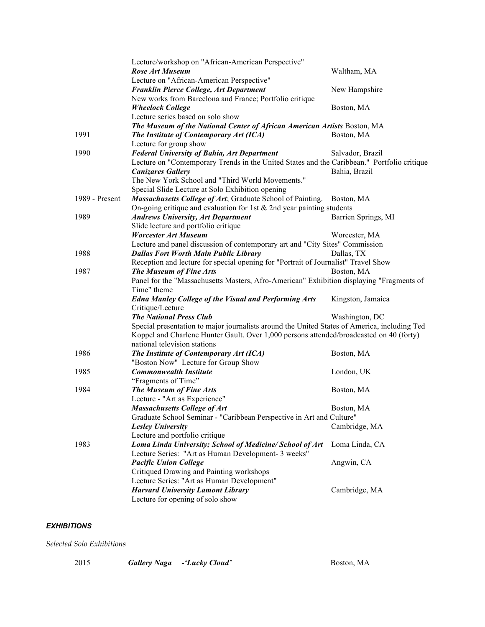|                | Lecture/workshop on "African-American Perspective"                                           |                     |
|----------------|----------------------------------------------------------------------------------------------|---------------------|
|                | <b>Rose Art Museum</b>                                                                       | Waltham, MA         |
|                | Lecture on "African-American Perspective"                                                    |                     |
|                | Franklin Pierce College, Art Department                                                      | New Hampshire       |
|                | New works from Barcelona and France; Portfolio critique                                      |                     |
|                | <b>Wheelock College</b>                                                                      | Boston, MA          |
|                | Lecture series based on solo show                                                            |                     |
|                | The Museum of the National Center of African American Artists Boston, MA                     |                     |
| 1991           | The Institute of Contemporary Art (ICA)                                                      | Boston, MA          |
|                | Lecture for group show                                                                       |                     |
| 1990           | <b>Federal University of Bahia, Art Department</b>                                           | Salvador, Brazil    |
|                | Lecture on "Contemporary Trends in the United States and the Caribbean." Portfolio critique  |                     |
|                | <b>Canizares Gallery</b>                                                                     | Bahia, Brazil       |
|                | The New York School and "Third World Movements."                                             |                     |
|                | Special Slide Lecture at Solo Exhibition opening                                             |                     |
| 1989 - Present | Massachusetts College of Art; Graduate School of Painting.                                   | Boston, MA          |
|                | On-going critique and evaluation for 1st $&$ 2nd year painting students                      |                     |
| 1989           | <b>Andrews University, Art Department</b>                                                    | Barrien Springs, MI |
|                | Slide lecture and portfolio critique                                                         |                     |
|                | <b>Worcester Art Museum</b>                                                                  | Worcester, MA       |
|                | Lecture and panel discussion of contemporary art and "City Sites" Commission                 |                     |
| 1988           | <b>Dallas Fort Worth Main Public Library</b>                                                 | Dallas, TX          |
|                | Reception and lecture for special opening for "Portrait of Journalist" Travel Show           |                     |
| 1987           | The Museum of Fine Arts                                                                      | Boston, MA          |
|                | Panel for the "Massachusetts Masters, Afro-American" Exhibition displaying "Fragments of     |                     |
|                | Time" theme                                                                                  |                     |
|                | <b>Edna Manley College of the Visual and Performing Arts</b>                                 | Kingston, Jamaica   |
|                | Critique/Lecture                                                                             |                     |
|                | <b>The National Press Club</b>                                                               | Washington, DC      |
|                | Special presentation to major journalists around the United States of America, including Ted |                     |
|                | Koppel and Charlene Hunter Gault. Over 1,000 persons attended/broadcasted on 40 (forty)      |                     |
|                | national television stations                                                                 |                     |
| 1986           | The Institute of Contemporary Art (ICA)                                                      | Boston, MA          |
|                | "Boston Now" Lecture for Group Show                                                          |                     |
| 1985           | <b>Commonwealth Institute</b>                                                                | London, UK          |
|                | "Fragments of Time"                                                                          |                     |
| 1984           | The Museum of Fine Arts                                                                      | Boston, MA          |
|                | Lecture - "Art as Experience"                                                                |                     |
|                | <b>Massachusetts College of Art</b>                                                          | Boston, MA          |
|                | Graduate School Seminar - "Caribbean Perspective in Art and Culture"                         |                     |
|                | <b>Lesley University</b>                                                                     | Cambridge, MA       |
|                | Lecture and portfolio critique                                                               |                     |
| 1983           | Loma Linda University; School of Medicine/ School of Art                                     | Loma Linda, CA      |
|                | Lecture Series: "Art as Human Development- 3 weeks"                                          |                     |
|                | <b>Pacific Union College</b>                                                                 | Angwin, CA          |
|                | Critiqued Drawing and Painting workshops                                                     |                     |
|                | Lecture Series: "Art as Human Development"                                                   |                     |
|                | <b>Harvard University Lamont Library</b>                                                     | Cambridge, MA       |
|                | Lecture for opening of solo show                                                             |                     |

## *EXHIBITIONS*

*Selected Solo Exhibitions*

| 2015 | <b>Gallery Naga</b> - 'Lucky Cloud' | Boston, MA |
|------|-------------------------------------|------------|
|      |                                     |            |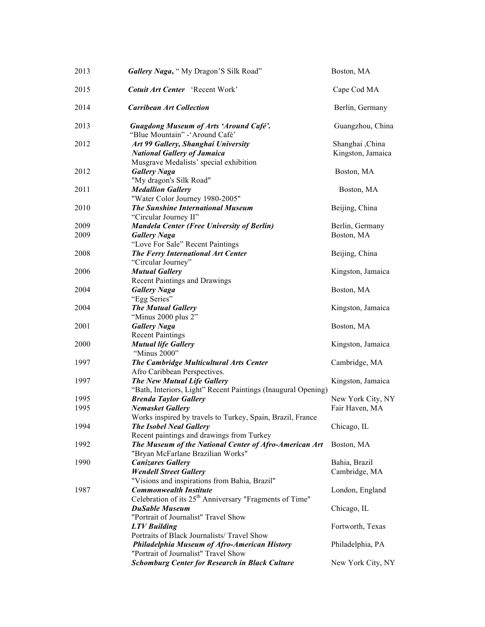| 2013         | Gallery Naga, "My Dragon'S Silk Road"                                                                                                                 | Boston, MA                           |
|--------------|-------------------------------------------------------------------------------------------------------------------------------------------------------|--------------------------------------|
| 2015         | Cotuit Art Center 'Recent Work'                                                                                                                       | Cape Cod MA                          |
| 2014         | <b>Carribean Art Collection</b>                                                                                                                       | Berlin, Germany                      |
| 2013         | <b>Guagdong Museum of Arts 'Around Café'.</b><br>"Blue Mountain" - 'Around Café'                                                                      | Guangzhou, China                     |
| 2012         | Art 99 Gallery, Shanghai University<br><b>National Gallery of Jamaica</b>                                                                             | Shanghai ,China<br>Kingston, Jamaica |
| 2012         | Musgrave Medalists' special exhibition<br><b>Gallery Naga</b><br>"My dragon's Silk Road"                                                              | Boston, MA                           |
| 2011         | <b>Medallion Gallery</b><br>"Water Color Journey 1980-2005"                                                                                           | Boston, MA                           |
| 2010         | <b>The Sunshine International Museum</b><br>"Circular Journey II"                                                                                     | Beijing, China                       |
| 2009<br>2009 | <b>Mandela Center (Free University of Berlin)</b><br><b>Gallery Naga</b>                                                                              | Berlin, Germany<br>Boston, MA        |
| 2008         | "Love For Sale" Recent Paintings<br><b>The Ferry International Art Center</b><br>"Circular Journey"                                                   | Beijing, China                       |
| 2006         | <b>Mutual Gallery</b><br><b>Recent Paintings and Drawings</b>                                                                                         | Kingston, Jamaica                    |
| 2004         | <b>Gallery Naga</b><br>"Egg Series"                                                                                                                   | Boston, MA                           |
| 2004         | <b>The Mutual Gallery</b><br>"Minus 2000 plus 2"                                                                                                      | Kingston, Jamaica                    |
| 2001         | <b>Gallery Naga</b><br><b>Recent Paintings</b>                                                                                                        | Boston, MA                           |
| 2000         | <b>Mutual life Gallery</b><br>"Minus 2000"                                                                                                            | Kingston, Jamaica                    |
| 1997         | The Cambridge Multicultural Arts Center<br>Afro Caribbean Perspectives.                                                                               | Cambridge, MA                        |
| 1997         | The New Mutual Life Gallery<br>"Bath, Interiors, Light" Recent Paintings (Inaugural Opening)                                                          | Kingston, Jamaica                    |
| 1995<br>1995 | <b>Brenda Taylor Gallery</b><br><b>Nemasket Gallery</b>                                                                                               | New York City, NY<br>Fair Haven, MA  |
| 1994         | Works inspired by travels to Turkey, Spain, Brazil, France<br><b>The Isobel Neal Gallery</b>                                                          | Chicago, IL                          |
| 1992         | Recent paintings and drawings from Turkey<br>The Museum of the National Center of Afro-American Art                                                   | Boston, MA                           |
| 1990         | "Bryan McFarlane Brazilian Works"<br><b>Canizares Gallery</b><br><b>Wendell Street Gallery</b>                                                        | Bahia, Brazil<br>Cambridge, MA       |
| 1987         | "Visions and inspirations from Bahia, Brazil"<br><b>Commonwealth Institute</b><br>Celebration of its 25 <sup>th</sup> Anniversary "Fragments of Time" | London, England                      |
|              | <b>DuSable Museum</b><br>"Portrait of Journalist" Travel Show                                                                                         | Chicago, IL                          |
|              | <b>LTV</b> Building<br>Portraits of Black Journalists/ Travel Show                                                                                    | Fortworth, Texas                     |
|              | Philadelphia Museum of Afro-American History<br>"Portrait of Journalist" Travel Show                                                                  | Philadelphia, PA                     |
|              | <b>Schomburg Center for Research in Black Culture</b>                                                                                                 | New York City, NY                    |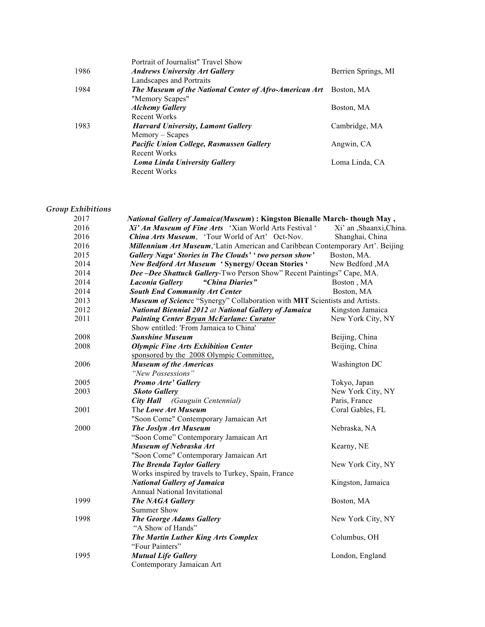|      | Portrait of Journalist" Travel Show                    |                     |
|------|--------------------------------------------------------|---------------------|
| 1986 | <b>Andrews University Art Gallery</b>                  | Berrien Springs, MI |
|      | Landscapes and Portraits                               |                     |
| 1984 | The Museum of the National Center of Afro-American Art | Boston, MA          |
|      | "Memory Scapes"                                        |                     |
|      | <b>Alchemy Gallery</b>                                 | Boston, MA          |
|      | Recent Works                                           |                     |
| 1983 | <b>Harvard University, Lamont Gallery</b>              | Cambridge, MA       |
|      | Memory – Scapes                                        |                     |
|      | <b>Pacific Union College, Rasmussen Gallery</b>        | Angwin, CA          |
|      | Recent Works                                           |                     |
|      | Loma Linda University Gallery                          | Loma Linda, CA      |
|      | Recent Works                                           |                     |
|      |                                                        |                     |

# *Group Exhibitions*

| 2017 | National Gallery of Jamaica(Museum): Kingston Bienalle March-though May,        |                        |
|------|---------------------------------------------------------------------------------|------------------------|
| 2016 | Xi' An Museum of Fine Arts 'Xian World Arts Festival'                           | Xi' an ,Shaanxi,China. |
| 2016 | China Arts Museum, 'Tour World of Art' Oct-Nov.                                 | Shanghai, China        |
| 2016 | Millennium Art Museum, 'Latin American and Caribbean Contemporary Art'. Beijing |                        |
| 2015 | Gallery Naga' Stories in The Clouds' ' two person show'                         | Boston, MA.            |
| 2014 | New Bedford Art Museum 'Synergy/ Ocean Stories'                                 | New Bedford, MA        |
| 2014 | Dee-Dee Shattuck Gallery-Two Person Show" Recent Paintings" Cape, MA.           |                        |
| 2014 | <b>Laconia Gallery</b><br>"China Diaries"                                       | Boston, MA             |
| 2014 | <b>South End Community Art Center</b>                                           | Boston, MA             |
| 2013 | Museum of Science "Synergy" Collaboration with MIT Scientists and Artists.      |                        |
| 2012 | <b>National Biennial 2012 at National Gallery of Jamaica</b>                    | Kingston Jamaica       |
| 2011 | <b>Painting Center Bryan McFarlane: Curator</b>                                 | New York City, NY      |
|      | Show entitled: 'From Jamaica to China'                                          |                        |
| 2008 | <b>Sunshine Museum</b>                                                          | Beijing, China         |
| 2008 | <b>Olympic Fine Arts Exhibition Center</b>                                      | Beijing, China         |
|      | sponsored by the 2008 Olympic Committee,                                        |                        |
| 2006 | <b>Museum of the Americas</b>                                                   | Washington DC          |
|      | "New Possessions"                                                               |                        |
| 2005 | <b>Promo Arte' Gallery</b>                                                      | Tokyo, Japan           |
| 2003 | <b>Skoto Gallery</b>                                                            | New York City, NY      |
|      | <b>City Hall</b> (Gauguin Centennial)                                           | Paris, France          |
| 2001 | The Lowe Art Museum                                                             | Coral Gables, FL       |
|      | "Soon Come" Contemporary Jamaican Art                                           |                        |
| 2000 | <b>The Joslyn Art Museum</b>                                                    | Nebraska, NA           |
|      | "Soon Come" Contemporary Jamaican Art                                           |                        |
|      | Museum of Nebraska Art                                                          | Kearny, NE             |
|      | "Soon Come" Contemporary Jamaican Art                                           |                        |
|      | <b>The Brenda Taylor Gallery</b>                                                | New York City, NY      |
|      | Works inspired by travels to Turkey, Spain, France                              |                        |
|      | <b>National Gallery of Jamaica</b>                                              | Kingston, Jamaica      |
|      | <b>Annual National Invitational</b>                                             |                        |
| 1999 | The NAGA Gallery                                                                | Boston, MA             |
|      | Summer Show                                                                     |                        |
| 1998 | <b>The George Adams Gallery</b>                                                 | New York City, NY      |
|      | "A Show of Hands"                                                               |                        |
|      | The Martin Luther King Arts Complex                                             | Columbus, OH           |
|      | "Four Painters"                                                                 |                        |
| 1995 | <b>Mutual Life Gallery</b>                                                      | London, England        |
|      | Contemporary Jamaican Art                                                       |                        |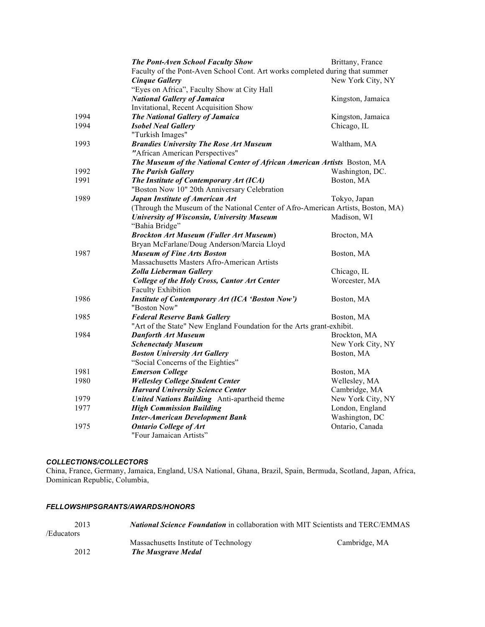|      | The Pont-Aven School Faculty Show                                                | Brittany, France  |
|------|----------------------------------------------------------------------------------|-------------------|
|      | Faculty of the Pont-Aven School Cont. Art works completed during that summer     |                   |
|      | <b>Cinque Gallery</b>                                                            | New York City, NY |
|      | "Eyes on Africa", Faculty Show at City Hall                                      |                   |
|      | <b>National Gallery of Jamaica</b>                                               | Kingston, Jamaica |
|      | Invitational, Recent Acquisition Show                                            |                   |
| 1994 | <b>The National Gallery of Jamaica</b>                                           | Kingston, Jamaica |
| 1994 | <b>Isobel Neal Gallery</b>                                                       | Chicago, IL       |
|      | "Turkish Images"                                                                 |                   |
| 1993 | <b>Brandies University The Rose Art Museum</b>                                   | Waltham, MA       |
|      | "African American Perspectives"                                                  |                   |
|      | The Museum of the National Center of African American Artists Boston, MA         |                   |
| 1992 | <b>The Parish Gallery</b>                                                        | Washington, DC.   |
| 1991 | The Institute of Contemporary Art (ICA)                                          | Boston, MA        |
|      | "Boston Now 10" 20th Anniversary Celebration                                     |                   |
| 1989 | Japan Institute of American Art                                                  | Tokyo, Japan      |
|      | (Through the Museum of the National Center of Afro-American Artists, Boston, MA) |                   |
|      | University of Wisconsin, University Museum                                       | Madison, WI       |
|      | "Bahia Bridge"                                                                   |                   |
|      | <b>Brockton Art Museum (Fuller Art Museum)</b>                                   | Brocton, MA       |
|      | Bryan McFarlane/Doug Anderson/Marcia Lloyd                                       |                   |
| 1987 | <b>Museum of Fine Arts Boston</b>                                                | Boston, MA        |
|      | Massachusetts Masters Afro-American Artists                                      |                   |
|      | Zolla Lieberman Gallery                                                          | Chicago, IL       |
|      | <b>College of the Holy Cross, Cantor Art Center</b>                              | Worcester, MA     |
|      | <b>Faculty Exhibition</b>                                                        |                   |
| 1986 | <b>Institute of Contemporary Art (ICA 'Boston Now')</b>                          | Boston, MA        |
|      | "Boston Now"                                                                     |                   |
| 1985 | <b>Federal Reserve Bank Gallery</b>                                              | Boston, MA        |
|      | "Art of the State" New England Foundation for the Arts grant-exhibit.            |                   |
| 1984 | <b>Danforth Art Museum</b>                                                       | Brockton, MA      |
|      | <b>Schenectady Museum</b>                                                        | New York City, NY |
|      | <b>Boston University Art Gallery</b>                                             | Boston, MA        |
|      | "Social Concerns of the Eighties"                                                |                   |
| 1981 | <b>Emerson College</b>                                                           | Boston, MA        |
| 1980 | <b>Wellesley College Student Center</b>                                          | Wellesley, MA     |
|      | <b>Harvard University Science Center</b>                                         | Cambridge, MA     |
| 1979 | United Nations Building Anti-apartheid theme                                     | New York City, NY |
| 1977 | <b>High Commission Building</b>                                                  | London, England   |
|      | <b>Inter-American Development Bank</b>                                           | Washington, DC    |
| 1975 | <b>Ontario College of Art</b>                                                    | Ontario, Canada   |
|      | "Four Jamaican Artists"                                                          |                   |
|      |                                                                                  |                   |

## *COLLECTIONS/COLLECTORS*

China, France, Germany, Jamaica, England, USA National, Ghana, Brazil, Spain, Bermuda, Scotland, Japan, Africa, Dominican Republic, Columbia,

#### *FELLOWSHIPSGRANTS/AWARDS/HONORS*

| 2013       | <i>National Science Foundation</i> in collaboration with MIT Scientists and TERC/EMMAS |               |
|------------|----------------------------------------------------------------------------------------|---------------|
| /Educators |                                                                                        |               |
|            | Massachusetts Institute of Technology                                                  | Cambridge, MA |
| 2012       | <b>The Musgrave Medal</b>                                                              |               |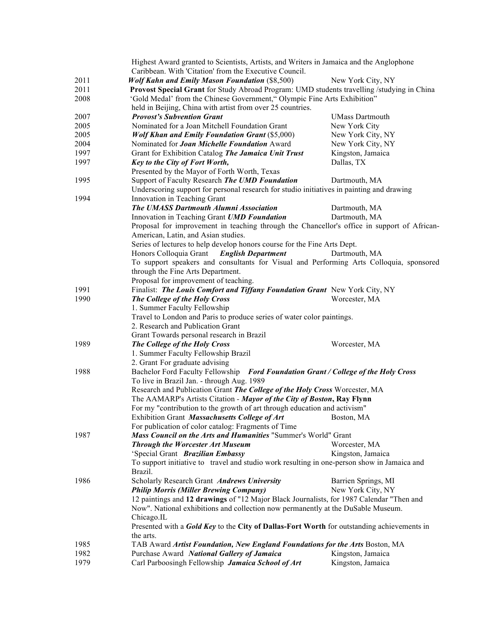|      | Highest Award granted to Scientists, Artists, and Writers in Jamaica and the Anglophone           |                        |
|------|---------------------------------------------------------------------------------------------------|------------------------|
|      | Caribbean. With 'Citation' from the Executive Council.                                            |                        |
| 2011 | <b>Wolf Kahn and Emily Mason Foundation (\$8,500)</b>                                             | New York City, NY      |
| 2011 | Provost Special Grant for Study Abroad Program: UMD students travelling /studying in China        |                        |
| 2008 | 'Gold Medal' from the Chinese Government," Olympic Fine Arts Exhibition"                          |                        |
|      | held in Beijing, China with artist from over 25 countries.                                        |                        |
| 2007 | <b>Provost's Subvention Grant</b>                                                                 | <b>UMass Dartmouth</b> |
| 2005 | Nominated for a Joan Mitchell Foundation Grant                                                    | New York City          |
| 2005 | <b>Wolf Khan and Emily Foundation Grant (\$5,000)</b>                                             | New York City, NY      |
| 2004 | Nominated for <b>Joan Michelle Foundation</b> Award                                               | New York City, NY      |
| 1997 | Grant for Exhibition Catalog The Jamaica Unit Trust                                               | Kingston, Jamaica      |
| 1997 | Key to the City of Fort Worth,                                                                    | Dallas, TX             |
|      | Presented by the Mayor of Forth Worth, Texas                                                      |                        |
| 1995 | Support of Faculty Research The UMD Foundation                                                    | Dartmouth, MA          |
|      | Underscoring support for personal research for studio initiatives in painting and drawing         |                        |
| 1994 | Innovation in Teaching Grant                                                                      |                        |
|      | The UMASS Dartmouth Alumni Association                                                            | Dartmouth, MA          |
|      | Innovation in Teaching Grant UMD Foundation                                                       | Dartmouth, MA          |
|      | Proposal for improvement in teaching through the Chancellor's office in support of African-       |                        |
|      | American, Latin, and Asian studies.                                                               |                        |
|      | Series of lectures to help develop honors course for the Fine Arts Dept.                          |                        |
|      | Honors Colloquia Grant<br><b>English Department</b>                                               | Dartmouth, MA          |
|      | To support speakers and consultants for Visual and Performing Arts Colloquia, sponsored           |                        |
|      | through the Fine Arts Department.                                                                 |                        |
|      |                                                                                                   |                        |
| 1991 | Proposal for improvement of teaching.                                                             |                        |
|      | Finalist: The Louis Comfort and Tiffany Foundation Grant New York City, NY                        |                        |
| 1990 | The College of the Holy Cross                                                                     | Worcester, MA          |
|      | 1. Summer Faculty Fellowship                                                                      |                        |
|      | Travel to London and Paris to produce series of water color paintings.                            |                        |
|      | 2. Research and Publication Grant                                                                 |                        |
|      | Grant Towards personal research in Brazil                                                         |                        |
| 1989 | The College of the Holy Cross                                                                     | Worcester, MA          |
|      | 1. Summer Faculty Fellowship Brazil                                                               |                        |
|      | 2. Grant For graduate advising                                                                    |                        |
| 1988 | Bachelor Ford Faculty Fellowship Ford Foundation Grant / College of the Holy Cross                |                        |
|      | To live in Brazil Jan. - through Aug. 1989                                                        |                        |
|      | Research and Publication Grant The College of the Holy Cross Worcester, MA                        |                        |
|      | The AAMARP's Artists Citation - Mayor of the City of Boston, Ray Flynn                            |                        |
|      | For my "contribution to the growth of art through education and activism"                         |                        |
|      | Exhibition Grant Massachusetts College of Art                                                     | Boston, MA             |
|      | For publication of color catalog: Fragments of Time                                               |                        |
| 1987 | Mass Council on the Arts and Humanities "Summer's World" Grant                                    |                        |
|      | <b>Through the Worcester Art Museum</b>                                                           | Worcester, MA          |
|      | 'Special Grant Brazilian Embassy                                                                  | Kingston, Jamaica      |
|      | To support initiative to travel and studio work resulting in one-person show in Jamaica and       |                        |
|      | Brazil.                                                                                           |                        |
| 1986 | Scholarly Research Grant Andrews University                                                       | Barrien Springs, MI    |
|      | <b>Philip Morris (Miller Brewing Company)</b>                                                     | New York City, NY      |
|      | 12 paintings and 12 drawings of "12 Major Black Journalists, for 1987 Calendar "Then and          |                        |
|      | Now". National exhibitions and collection now permanently at the DuSable Museum.                  |                        |
|      | Chicago.IL                                                                                        |                        |
|      | Presented with a <b>Gold Key</b> to the City of Dallas-Fort Worth for outstanding achievements in |                        |
|      | the arts.                                                                                         |                        |
| 1985 | TAB Award Artist Foundation, New England Foundations for the Arts Boston, MA                      |                        |
| 1982 | Purchase Award National Gallery of Jamaica                                                        | Kingston, Jamaica      |
| 1979 | Carl Parboosingh Fellowship Jamaica School of Art                                                 | Kingston, Jamaica      |
|      |                                                                                                   |                        |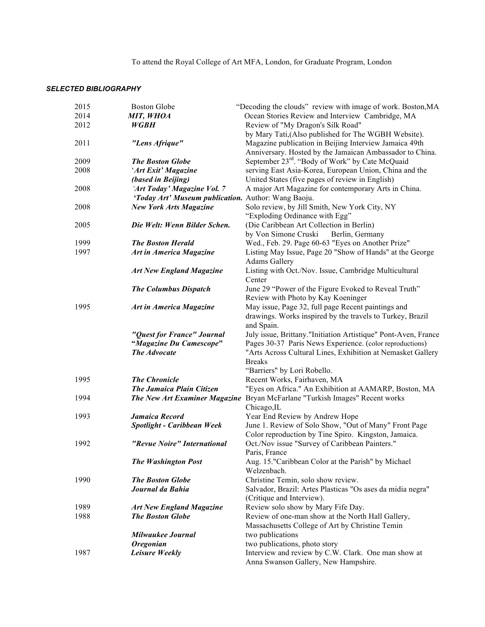To attend the Royal College of Art MFA, London, for Graduate Program, London

#### *SELECTED BIBLIOGRAPHY*

| 2015 | <b>Boston Globe</b>                            | "Decoding the clouds" review with image of work. Boston, MA                                                             |
|------|------------------------------------------------|-------------------------------------------------------------------------------------------------------------------------|
| 2014 | MIT, WHOA                                      | Ocean Stories Review and Interview Cambridge, MA                                                                        |
| 2012 | <b>WGBH</b>                                    | Review of "My Dragon's Silk Road"                                                                                       |
|      |                                                | by Mary Tati, (Also published for The WGBH Website).                                                                    |
| 2011 | "Lens Afrique"                                 | Magazine publication in Beijing Interview Jamaica 49th                                                                  |
|      |                                                | Anniversary. Hosted by the Jamaican Ambassador to China.                                                                |
| 2009 | <b>The Boston Globe</b>                        | September 23rd. "Body of Work" by Cate McQuaid                                                                          |
| 2008 | 'Art Exit' Magazine<br>(based in Beijing)      | serving East Asia-Korea, European Union, China and the<br>United States (five pages of review in English)               |
| 2008 | 'Art Today' Magazine Vol. 7                    | A major Art Magazine for contemporary Arts in China.                                                                    |
|      | 'Today Art' Museum publication.                | Author: Wang Baoju.                                                                                                     |
| 2008 | <b>New York Arts Magazine</b>                  | Solo review, by Jill Smith, New York City, NY                                                                           |
|      |                                                | "Exploding Ordinance with Egg"                                                                                          |
| 2005 | Die Welt: Wenn Bilder Schen.                   | (Die Caribbean Art Collection in Berlin)                                                                                |
|      |                                                | by Von Simone Cruski<br>Berlin, Germany                                                                                 |
| 1999 | <b>The Boston Herald</b>                       | Wed., Feb. 29. Page 60-63 "Eyes on Another Prize"                                                                       |
| 1997 | <b>Art in America Magazine</b>                 | Listing May Issue, Page 20 "Show of Hands" at the George<br><b>Adams Gallery</b>                                        |
|      | <b>Art New England Magazine</b>                | Listing with Oct./Nov. Issue, Cambridge Multicultural                                                                   |
|      |                                                | Center                                                                                                                  |
|      | <b>The Columbus Dispatch</b>                   | June 29 "Power of the Figure Evoked to Reveal Truth"                                                                    |
|      |                                                | Review with Photo by Kay Koeninger                                                                                      |
| 1995 | <b>Art in America Magazine</b>                 | May issue, Page 32, full page Recent paintings and                                                                      |
|      |                                                | drawings. Works inspired by the travels to Turkey, Brazil                                                               |
|      |                                                | and Spain.                                                                                                              |
|      | "Quest for France" Journal                     | July issue, Brittany."Initiation Artistique" Pont-Aven, France                                                          |
|      | "Magazine Du Camescope"<br><b>The Advocate</b> | Pages 30-37 Paris News Experience. (color reproductions)<br>"Arts Across Cultural Lines, Exhibition at Nemasket Gallery |
|      |                                                | <b>Breaks</b>                                                                                                           |
|      |                                                | "Barriers" by Lori Robello.                                                                                             |
| 1995 | <b>The Chronicle</b>                           | Recent Works, Fairhaven, MA                                                                                             |
|      | <b>The Jamaica Plain Citizen</b>               | "Eyes on Africa." An Exhibition at AAMARP, Boston, MA                                                                   |
| 1994 | The New Art Examiner Magazine                  | Bryan McFarlane "Turkish Images" Recent works                                                                           |
|      |                                                | Chicago, IL                                                                                                             |
| 1993 | Jamaica Record                                 | Year End Review by Andrew Hope                                                                                          |
|      | Spotlight - Caribbean Week                     | June 1. Review of Solo Show, "Out of Many" Front Page                                                                   |
|      |                                                | Color reproduction by Tine Spiro. Kingston, Jamaica.                                                                    |
| 1992 | "Revue Noire" International                    | Oct./Nov issue "Survey of Caribbean Painters."                                                                          |
|      |                                                | Paris, France                                                                                                           |
|      | <b>The Washington Post</b>                     | Aug. 15."Caribbean Color at the Parish" by Michael<br>Welzenbach.                                                       |
| 1990 | <b>The Boston Globe</b>                        | Christine Temin, solo show review.                                                                                      |
|      | Journal da Bahia                               | Salvador, Brazil: Artes Plasticas "Os ases da midia negra"                                                              |
|      |                                                | (Critique and Interview).                                                                                               |
| 1989 | <b>Art New England Magazine</b>                | Review solo show by Mary Fife Day.                                                                                      |
| 1988 | <b>The Boston Globe</b>                        | Review of one-man show at the North Hall Gallery,                                                                       |
|      |                                                | Massachusetts College of Art by Christine Temin                                                                         |
|      | <b>Milwaukee Journal</b>                       | two publications                                                                                                        |
|      | <b>Oregonian</b>                               | two publications, photo story                                                                                           |
| 1987 | <b>Leisure Weekly</b>                          | Interview and review by C.W. Clark. One man show at                                                                     |
|      |                                                | Anna Swanson Gallery, New Hampshire.                                                                                    |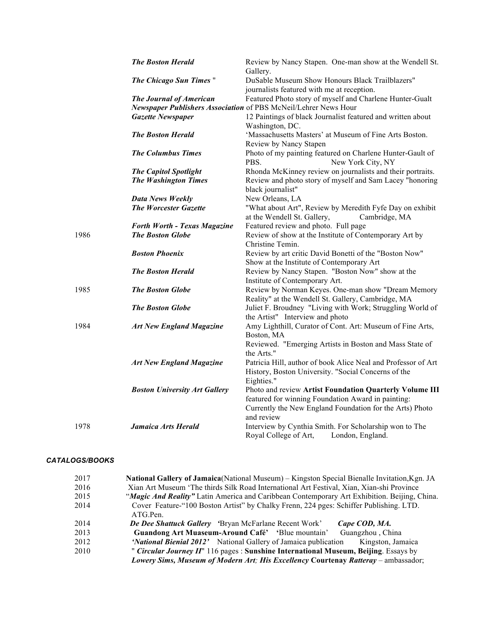|      | <b>The Boston Herald</b>             | Review by Nancy Stapen. One-man show at the Wendell St.<br>Gallery.                                                                |  |  |  |
|------|--------------------------------------|------------------------------------------------------------------------------------------------------------------------------------|--|--|--|
|      | <b>The Chicago Sun Times</b> "       | DuSable Museum Show Honours Black Trailblazers"<br>journalists featured with me at reception.                                      |  |  |  |
|      | <b>The Journal of American</b>       | Featured Photo story of myself and Charlene Hunter-Gualt<br>Newspaper Publishers Association of PBS McNeil/Lehrer News Hour        |  |  |  |
|      | <b>Gazette Newspaper</b>             | 12 Paintings of black Journalist featured and written about<br>Washington, DC.                                                     |  |  |  |
|      | <b>The Boston Herald</b>             | 'Massachusetts Masters' at Museum of Fine Arts Boston.<br>Review by Nancy Stapen                                                   |  |  |  |
|      | <b>The Columbus Times</b>            | Photo of my painting featured on Charlene Hunter-Gault of<br>PBS.<br>New York City, NY                                             |  |  |  |
|      | <b>The Capitol Spotlight</b>         | Rhonda McKinney review on journalists and their portraits.                                                                         |  |  |  |
|      | <b>The Washington Times</b>          | Review and photo story of myself and Sam Lacey "honoring<br>black journalist"                                                      |  |  |  |
|      | <b>Data News Weekly</b>              | New Orleans, LA                                                                                                                    |  |  |  |
|      | <b>The Worcester Gazette</b>         | "What about Art", Review by Meredith Fyfe Day on exhibit<br>at the Wendell St. Gallery,<br>Cambridge, MA                           |  |  |  |
|      | <b>Forth Worth - Texas Magazine</b>  | Featured review and photo. Full page                                                                                               |  |  |  |
| 1986 | <b>The Boston Globe</b>              | Review of show at the Institute of Contemporary Art by<br>Christine Temin.                                                         |  |  |  |
|      | <b>Boston Phoenix</b>                | Review by art critic David Bonetti of the "Boston Now"<br>Show at the Institute of Contemporary Art                                |  |  |  |
|      | <b>The Boston Herald</b>             | Review by Nancy Stapen. "Boston Now" show at the<br>Institute of Contemporary Art.                                                 |  |  |  |
| 1985 | <b>The Boston Globe</b>              | Review by Norman Keyes. One-man show "Dream Memory<br>Reality" at the Wendell St. Gallery, Cambridge, MA                           |  |  |  |
|      | <b>The Boston Globe</b>              | Juliet F. Broudney "Living with Work; Struggling World of<br>the Artist" Interview and photo                                       |  |  |  |
| 1984 | <b>Art New England Magazine</b>      | Amy Lighthill, Curator of Cont. Art: Museum of Fine Arts,<br>Boston, MA<br>Reviewed. "Emerging Artists in Boston and Mass State of |  |  |  |
|      |                                      | the Arts."                                                                                                                         |  |  |  |
|      | <b>Art New England Magazine</b>      | Patricia Hill, author of book Alice Neal and Professor of Art<br>History, Boston University. "Social Concerns of the               |  |  |  |
|      |                                      | Eighties."                                                                                                                         |  |  |  |
|      | <b>Boston University Art Gallery</b> | Photo and review Artist Foundation Quarterly Volume III                                                                            |  |  |  |
|      |                                      | featured for winning Foundation Award in painting:                                                                                 |  |  |  |
|      |                                      | Currently the New England Foundation for the Arts) Photo<br>and review                                                             |  |  |  |
| 1978 | <b>Jamaica Arts Herald</b>           | Interview by Cynthia Smith. For Scholarship won to The                                                                             |  |  |  |
|      |                                      | Royal College of Art,<br>London, England.                                                                                          |  |  |  |

#### *CATALOGS/BOOKS*

| 2017 | National Gallery of Jamaica (National Museum) – Kingston Special Bienalle Invitation, Kgn. JA |  |  |  |  |
|------|-----------------------------------------------------------------------------------------------|--|--|--|--|
| 2016 | Xian Art Museum 'The thirds Silk Road International Art Festival, Xian, Xian-shi Province     |  |  |  |  |
| 2015 | "Magic And Reality" Latin America and Caribbean Contemporary Art Exhibition. Beijing, China.  |  |  |  |  |
| 2014 | Cover Feature-"100 Boston Artist" by Chalky Frenn, 224 pges: Schiffer Publishing. LTD.        |  |  |  |  |
|      | ATG.Pen.                                                                                      |  |  |  |  |
| 2014 | De Dee Shattuck Gallery Bryan McFarlane Recent Work'<br>Cape COD, MA.                         |  |  |  |  |
| 2013 | Guangzhou, China<br>Guandong Art Muaseum-Around Café' 'Blue mountain'                         |  |  |  |  |
| 2012 | 'National Bienial 2012' National Gallery of Jamaica publication<br>Kingston, Jamaica          |  |  |  |  |
| 2010 | " <i>Circular Journey II</i> " 116 pages : Sunshine International Museum, Beijing. Essays by  |  |  |  |  |
|      | Lowery Sims, Museum of Modern Art; His Excellency Courtenay Ratteray - ambassador;            |  |  |  |  |